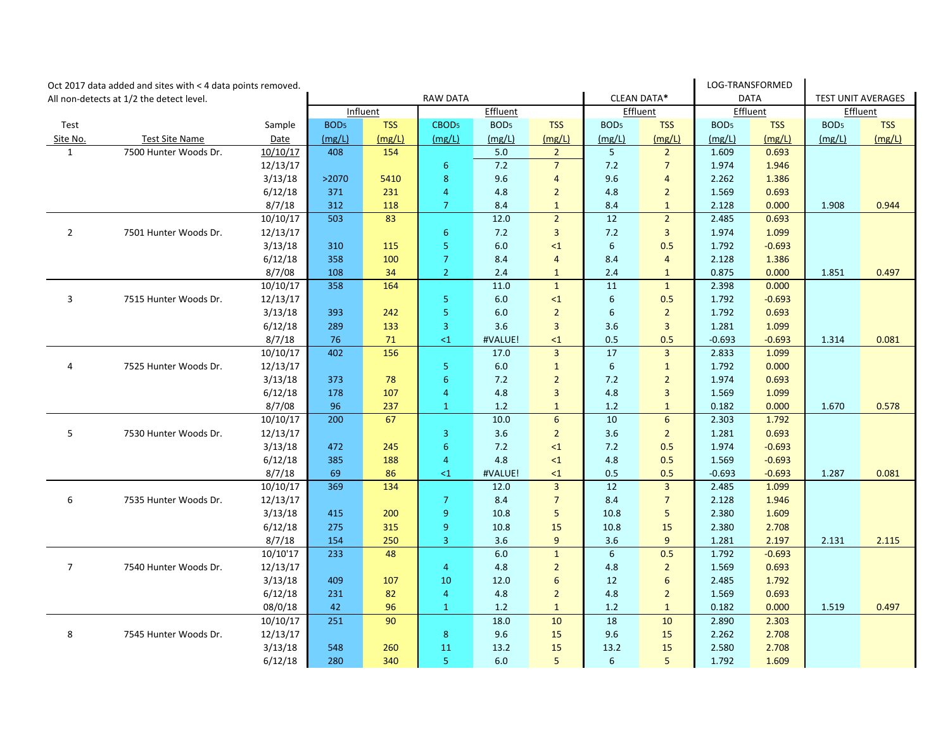|                                          | Oct 2017 data added and sites with < 4 data points removed. |                 |                  |            |                         |                  |                 |                    | LOG-TRANSFORMED |                  |                           |                  |            |
|------------------------------------------|-------------------------------------------------------------|-----------------|------------------|------------|-------------------------|------------------|-----------------|--------------------|-----------------|------------------|---------------------------|------------------|------------|
| All non-detects at 1/2 the detect level. |                                                             | <b>RAW DATA</b> |                  |            |                         |                  |                 | <b>CLEAN DATA*</b> | <b>DATA</b>     |                  | <b>TEST UNIT AVERAGES</b> |                  |            |
|                                          |                                                             |                 | Influent         |            | Effluent                |                  |                 | Effluent           |                 | Effluent         |                           | Effluent         |            |
| Test                                     |                                                             | Sample          | BOD <sub>5</sub> | <b>TSS</b> | CBOD <sub>5</sub>       | BOD <sub>5</sub> | <b>TSS</b>      | BOD <sub>5</sub>   | <b>TSS</b>      | BOD <sub>5</sub> | <b>TSS</b>                | BOD <sub>5</sub> | <b>TSS</b> |
| Site No.                                 | <b>Test Site Name</b>                                       | Date            | (mg/L)           | (mg/L)     | (mg/L)                  | (mg/L)           | (mg/L)          | (mg/L)             | (mg/L)          | (mg/L)           | (mg/L)                    | (mg/L)           | (mg/L)     |
| $\mathbf{1}$                             | 7500 Hunter Woods Dr.                                       | 10/10/17        | 408              | 154        |                         | 5.0              | $\overline{2}$  | 5 <sup>5</sup>     | $\overline{2}$  | 1.609            | 0.693                     |                  |            |
|                                          |                                                             | 12/13/17        |                  |            | 6                       | 7.2              | $7\overline{ }$ | 7.2                | $\overline{7}$  | 1.974            | 1.946                     |                  |            |
|                                          |                                                             | 3/13/18         | >2070            | 5410       | $\bf 8$                 | 9.6              | $\overline{4}$  | 9.6                | $\overline{4}$  | 2.262            | 1.386                     |                  |            |
|                                          |                                                             | 6/12/18         | 371              | 231        | 4                       | 4.8              | $\overline{2}$  | 4.8                | $\overline{2}$  | 1.569            | 0.693                     |                  |            |
|                                          |                                                             | 8/7/18          | 312              | 118        | $\overline{7}$          | 8.4              | $\mathbf{1}$    | 8.4                | $\mathbf{1}$    | 2.128            | 0.000                     | 1.908            | 0.944      |
|                                          |                                                             | 10/10/17        | 503              | 83         |                         | 12.0             | $\overline{2}$  | 12                 | $\overline{2}$  | 2.485            | 0.693                     |                  |            |
| $\overline{2}$                           | 7501 Hunter Woods Dr.                                       | 12/13/17        |                  |            | 6                       | 7.2              | 3               | 7.2                | $\overline{3}$  | 1.974            | 1.099                     |                  |            |
|                                          |                                                             | 3/13/18         | 310              | 115        | 5                       | 6.0              | $\leq 1$        | $6\phantom{1}$     | 0.5             | 1.792            | $-0.693$                  |                  |            |
|                                          |                                                             | 6/12/18         | 358              | 100        | $\overline{7}$          | 8.4              | $\overline{4}$  | 8.4                | $\overline{4}$  | 2.128            | 1.386                     |                  |            |
|                                          |                                                             | 8/7/08          | 108              | 34         | $\overline{2}$          | 2.4              | $\mathbf{1}$    | 2.4                | $\mathbf{1}$    | 0.875            | 0.000                     | 1.851            | 0.497      |
|                                          |                                                             | 10/10/17        | 358              | 164        |                         | 11.0             | $\mathbf{1}$    | 11                 | $\mathbf{1}$    | 2.398            | 0.000                     |                  |            |
| 3                                        | 7515 Hunter Woods Dr.                                       | 12/13/17        |                  |            | 5 <sup>5</sup>          | 6.0              | $\leq 1$        | $6\phantom{1}$     | 0.5             | 1.792            | $-0.693$                  |                  |            |
|                                          |                                                             | 3/13/18         | 393              | 242        | $\overline{\mathbf{5}}$ | 6.0              | $\overline{2}$  | $\boldsymbol{6}$   | $\overline{2}$  | 1.792            | 0.693                     |                  |            |
|                                          |                                                             | 6/12/18         | 289              | 133        | 3                       | 3.6              | 3               | 3.6                | $\overline{3}$  | 1.281            | 1.099                     |                  |            |
|                                          |                                                             | 8/7/18          | 76               | 71         | $\leq 1$                | #VALUE!          | $\leq$ 1        | 0.5                | 0.5             | $-0.693$         | $-0.693$                  | 1.314            | 0.081      |
|                                          |                                                             | 10/10/17        | 402              | 156        |                         | 17.0             | 3               | 17                 | $\overline{3}$  | 2.833            | 1.099                     |                  |            |
| 4                                        | 7525 Hunter Woods Dr.                                       | 12/13/17        |                  |            | 5 <sup>5</sup>          | 6.0              | $\mathbf{1}$    | $6\overline{6}$    | $\mathbf{1}$    | 1.792            | 0.000                     |                  |            |
|                                          |                                                             | 3/13/18         | 373              | 78         | $\boldsymbol{6}$        | 7.2              | $\overline{2}$  | $7.2$              | $\overline{2}$  | 1.974            | 0.693                     |                  |            |
|                                          |                                                             | 6/12/18         | 178              | 107        | 4                       | 4.8              | 3               | 4.8                | $\overline{3}$  | 1.569            | 1.099                     |                  |            |
|                                          |                                                             | 8/7/08          | 96               | 237        | $\mathbf{1}$            | 1.2              | $\mathbf{1}$    | 1.2                | $\mathbf{1}$    | 0.182            | 0.000                     | 1.670            | 0.578      |
|                                          |                                                             | 10/10/17        | 200              | 67         |                         | 10.0             | $6\overline{6}$ | 10                 | 6               | 2.303            | 1.792                     |                  |            |
| 5                                        | 7530 Hunter Woods Dr.                                       | 12/13/17        |                  |            | $\overline{3}$          | 3.6              | $\overline{2}$  | 3.6                | $\overline{2}$  | 1.281            | 0.693                     |                  |            |
|                                          |                                                             | 3/13/18         | 472              | 245        | $\boldsymbol{6}$        | 7.2              | $\leq 1$        | 7.2                | 0.5             | 1.974            | $-0.693$                  |                  |            |
|                                          |                                                             | 6/12/18         | 385              | 188        | 4                       | 4.8              | $\leq 1$        | 4.8                | 0.5             | 1.569            | $-0.693$                  |                  |            |
|                                          |                                                             | 8/7/18          | 69               | 86         | $\leq$ 1                | #VALUE!          | $\leq$ 1        | 0.5                | 0.5             | $-0.693$         | $-0.693$                  | 1.287            | 0.081      |
|                                          |                                                             | 10/10/17        | 369              | 134        |                         | 12.0             | 3               | 12                 | $\overline{3}$  | 2.485            | 1.099                     |                  |            |
| 6                                        | 7535 Hunter Woods Dr.                                       | 12/13/17        |                  |            | $\overline{7}$          | 8.4              | $\overline{7}$  | 8.4                | $\overline{7}$  | 2.128            | 1.946                     |                  |            |
|                                          |                                                             | 3/13/18         | 415              | 200        | $\overline{9}$          | 10.8             | 5               | 10.8               | 5               | 2.380            | 1.609                     |                  |            |
|                                          |                                                             | 6/12/18         | 275              | 315        | $\boldsymbol{9}$        | 10.8             | 15              | 10.8               | 15              | 2.380            | 2.708                     |                  |            |
|                                          |                                                             | 8/7/18          | 154              | 250        | 3                       | 3.6              | 9               | 3.6                | 9               | 1.281            | 2.197                     | 2.131            | 2.115      |
|                                          |                                                             | 10/10'17        | 233              | 48         |                         | 6.0              | $\mathbf{1}$    | $6\overline{6}$    | 0.5             | 1.792            | $-0.693$                  |                  |            |
| $\overline{7}$                           | 7540 Hunter Woods Dr.                                       | 12/13/17        |                  |            | 4                       | 4.8              | $\overline{2}$  | 4.8                | $\overline{2}$  | 1.569            | 0.693                     |                  |            |
|                                          |                                                             | 3/13/18         | 409              | 107        | 10                      | 12.0             | 6               | 12                 | 6               | 2.485            | 1.792                     |                  |            |
|                                          |                                                             | 6/12/18         | 231              | 82         | 4                       | 4.8              | $\overline{2}$  | 4.8                | $\overline{2}$  | 1.569            | 0.693                     |                  |            |
|                                          |                                                             | 08/0/18         | 42               | 96         | $\mathbf{1}$            | 1.2              | $\mathbf{1}$    | 1.2                | $\mathbf{1}$    | 0.182            | 0.000                     | 1.519            | 0.497      |
|                                          |                                                             | 10/10/17        | 251              | 90         |                         | 18.0             | 10              | 18                 | 10              | 2.890            | 2.303                     |                  |            |
| 8                                        | 7545 Hunter Woods Dr.                                       | 12/13/17        |                  |            | 8                       | 9.6              | 15              | 9.6                | 15              | 2.262            | 2.708                     |                  |            |
|                                          |                                                             | 3/13/18         | 548              | 260        | 11                      | 13.2             | 15              | 13.2               | 15              | 2.580            | 2.708                     |                  |            |
|                                          |                                                             | 6/12/18         | 280              | 340        | 5                       | 6.0              | 5               | 6                  | 5               | 1.792            | 1.609                     |                  |            |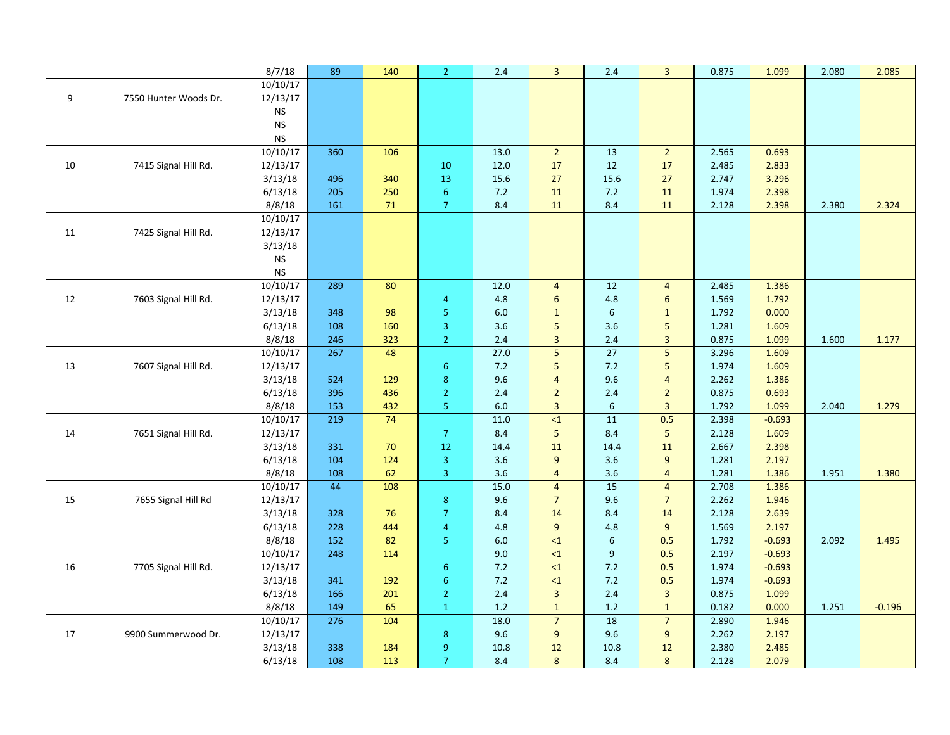|    |                       | 8/7/18               | 89         | 140        | $\overline{2}$   | 2.4              | $\overline{\mathbf{3}}$          | 2.4                    | 3                       | 0.875          | 1.099          | 2.080 | 2.085    |
|----|-----------------------|----------------------|------------|------------|------------------|------------------|----------------------------------|------------------------|-------------------------|----------------|----------------|-------|----------|
|    |                       | 10/10/17             |            |            |                  |                  |                                  |                        |                         |                |                |       |          |
| 9  | 7550 Hunter Woods Dr. | 12/13/17             |            |            |                  |                  |                                  |                        |                         |                |                |       |          |
|    |                       | $\mathsf{NS}\xspace$ |            |            |                  |                  |                                  |                        |                         |                |                |       |          |
|    |                       | <b>NS</b>            |            |            |                  |                  |                                  |                        |                         |                |                |       |          |
|    |                       | ${\sf NS}$           |            |            |                  |                  |                                  |                        |                         |                |                |       |          |
|    |                       | 10/10/17             | 360        | 106        |                  | $\frac{13.0}{ }$ | $\overline{2}$                   | 13                     | $\overline{2}$          | 2.565          | 0.693          |       |          |
| 10 | 7415 Signal Hill Rd.  | 12/13/17             |            |            | 10               | 12.0             | 17                               | 12                     | 17                      | 2.485          | 2.833          |       |          |
|    |                       | 3/13/18              | 496        | 340        | 13               | 15.6             | 27                               | 15.6                   | 27                      | 2.747          | 3.296          |       |          |
|    |                       | 6/13/18              | 205        | 250        | $\boldsymbol{6}$ | $7.2$            | 11                               | 7.2                    | 11                      | 1.974          | 2.398          |       |          |
|    |                       | 8/8/18               | 161        | 71         | $\overline{7}$   | 8.4              | 11                               | 8.4                    | 11                      | 2.128          | 2.398          | 2.380 | 2.324    |
|    |                       | 10/10/17             |            |            |                  |                  |                                  |                        |                         |                |                |       |          |
| 11 | 7425 Signal Hill Rd.  | 12/13/17             |            |            |                  |                  |                                  |                        |                         |                |                |       |          |
|    |                       | 3/13/18              |            |            |                  |                  |                                  |                        |                         |                |                |       |          |
|    |                       | <b>NS</b>            |            |            |                  |                  |                                  |                        |                         |                |                |       |          |
|    |                       | <b>NS</b>            |            |            |                  |                  |                                  |                        |                         |                |                |       |          |
|    |                       | 10/10/17             | 289        | 80         |                  | 12.0             | $\overline{4}$                   | 12                     | $\overline{4}$          | 2.485          | 1.386          |       |          |
| 12 | 7603 Signal Hill Rd.  | 12/13/17             |            |            | 4                | 4.8              | 6                                | 4.8                    | 6                       | 1.569          | 1.792          |       |          |
|    |                       | 3/13/18              | 348        | 98         | 5                | 6.0              | $1\,$                            | 6                      | $\mathbf{1}$            | 1.792          | 0.000          |       |          |
|    |                       | 6/13/18              | 108        | 160        | 3                | 3.6              | 5                                | 3.6                    | 5                       | 1.281          | 1.609          |       |          |
|    |                       | 8/8/18               | 246        | 323        | $\overline{2}$   | 2.4              | $\overline{\mathbf{3}}$          | 2.4<br>$\overline{27}$ | 3                       | 0.875          | 1.099          | 1.600 | 1.177    |
|    |                       | 10/10/17             | 267        | 48         |                  | 27.0             | 5                                |                        | 5                       | 3.296          | 1.609          |       |          |
| 13 | 7607 Signal Hill Rd.  | 12/13/17             |            |            | $6\,$            | 7.2              | 5                                | 7.2                    | 5                       | 1.974          | 1.609          |       |          |
|    |                       | 3/13/18              | 524        | 129        | $\bf 8$          | 9.6              | $\overline{4}$                   | 9.6                    | $\overline{4}$          | 2.262          | 1.386          |       |          |
|    |                       | 6/13/18<br>8/8/18    | 396        | 436<br>432 | $\overline{2}$   | 2.4<br>6.0       | $\overline{2}$<br>$\overline{3}$ | 2.4<br>$6\phantom{1}$  | $\overline{2}$<br>3     | 0.875          | 0.693<br>1.099 |       |          |
|    |                       | 10/10/17             | 153<br>219 | 74         | 5 <sub>1</sub>   | 11.0             | $\leq 1$                         | 11                     | 0.5                     | 1.792<br>2.398 | $-0.693$       | 2.040 | 1.279    |
| 14 | 7651 Signal Hill Rd.  | 12/13/17             |            |            | $\overline{7}$   | 8.4              | 5                                | 8.4                    | 5                       | 2.128          | 1.609          |       |          |
|    |                       | 3/13/18              | 331        | 70         | $12\,$           | 14.4             | 11                               | 14.4                   | 11                      | 2.667          | 2.398          |       |          |
|    |                       | 6/13/18              | 104        | 124        | 3                | 3.6              | 9                                | 3.6                    | 9                       | 1.281          | 2.197          |       |          |
|    |                       | 8/8/18               | 108        | 62         | $\overline{3}$   | 3.6              | $\overline{4}$                   | 3.6                    | $\overline{4}$          | 1.281          | 1.386          | 1.951 | 1.380    |
|    |                       | 10/10/17             | 44         | 108        |                  | 15.0             | $\overline{4}$                   | 15                     | $\overline{4}$          | 2.708          | 1.386          |       |          |
| 15 | 7655 Signal Hill Rd   | 12/13/17             |            |            | $\bf 8$          | 9.6              | $\overline{7}$                   | 9.6                    | $\overline{7}$          | 2.262          | 1.946          |       |          |
|    |                       | 3/13/18              | 328        | 76         | $\overline{7}$   | 8.4              | 14                               | 8.4                    | 14                      | 2.128          | 2.639          |       |          |
|    |                       | 6/13/18              | 228        | 444        | $\overline{4}$   | 4.8              | 9                                | 4.8                    | 9                       | 1.569          | 2.197          |       |          |
|    |                       | 8/8/18               | 152        | 82         | 5 <sub>1</sub>   | 6.0              | $\leq 1$                         | 6                      | 0.5                     | 1.792          | $-0.693$       | 2.092 | 1.495    |
|    |                       | 10/10/17             | 248        | 114        |                  | 9.0              | $\leq 1$                         | $\overline{9}$         | 0.5                     | 2.197          | $-0.693$       |       |          |
| 16 | 7705 Signal Hill Rd.  | 12/13/17             |            |            | $\boldsymbol{6}$ | 7.2              | $\leq 1$                         | 7.2                    | 0.5                     | 1.974          | $-0.693$       |       |          |
|    |                       | 3/13/18              | 341        | 192        | $\boldsymbol{6}$ | $7.2$            | $\leq 1$                         | $7.2$                  | 0.5                     | 1.974          | $-0.693$       |       |          |
|    |                       | 6/13/18              | 166        | 201        | $\overline{2}$   | 2.4              | $\overline{\mathbf{3}}$          | 2.4                    | $\overline{\mathbf{3}}$ | 0.875          | 1.099          |       |          |
|    |                       | 8/8/18               | 149        | 65         | $\mathbf{1}$     | 1.2              | $\mathbf{1}$                     | 1.2                    | $\mathbf{1}$            | 0.182          | 0.000          | 1.251 | $-0.196$ |
|    |                       | 10/10/17             | 276        | 104        |                  | 18.0             | $\overline{7}$                   | 18                     | $\overline{7}$          | 2.890          | 1.946          |       |          |
| 17 | 9900 Summerwood Dr.   | 12/13/17             |            |            | $\bf 8$          | 9.6              | 9                                | 9.6                    | 9                       | 2.262          | 2.197          |       |          |
|    |                       | 3/13/18              | 338        | 184        | 9                | 10.8             | 12                               | 10.8                   | 12                      | 2.380          | 2.485          |       |          |
|    |                       | 6/13/18              | 108        | 113        | $\overline{7}$   | 8.4              | 8                                | 8.4                    | 8                       | 2.128          | 2.079          |       |          |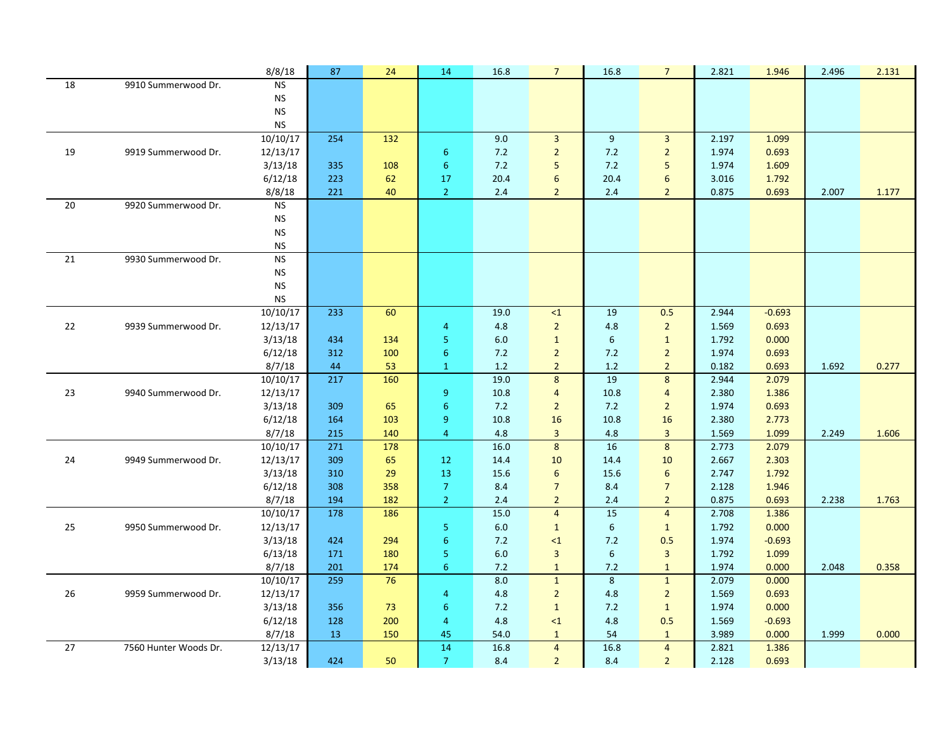|    |                       | 8/8/18                  | 87               | 24  | 14                    | 16.8             | $\overline{7}$          | 16.8             | $\overline{7}$          | 2.821 | 1.946    | 2.496 | 2.131 |
|----|-----------------------|-------------------------|------------------|-----|-----------------------|------------------|-------------------------|------------------|-------------------------|-------|----------|-------|-------|
| 18 | 9910 Summerwood Dr.   | <b>NS</b>               |                  |     |                       |                  |                         |                  |                         |       |          |       |       |
|    |                       | <b>NS</b>               |                  |     |                       |                  |                         |                  |                         |       |          |       |       |
|    |                       | <b>NS</b>               |                  |     |                       |                  |                         |                  |                         |       |          |       |       |
|    |                       | <b>NS</b>               |                  |     |                       |                  |                         |                  |                         |       |          |       |       |
|    |                       | 10/10/17                | 254              | 132 |                       | 9.0              | $\overline{3}$          | 9                | $\overline{3}$          | 2.197 | 1.099    |       |       |
| 19 | 9919 Summerwood Dr.   | 12/13/17                |                  |     | $\boldsymbol{6}$      | 7.2              | $\overline{2}$          | $7.2$            | $\overline{2}$          | 1.974 | 0.693    |       |       |
|    |                       | 3/13/18                 | 335              | 108 | $\sqrt{6}$            | $7.2$            | 5                       | 7.2              | 5                       | 1.974 | 1.609    |       |       |
|    |                       | 6/12/18                 | 223              | 62  | 17                    | 20.4             | $6\phantom{a}$          | 20.4             | 6                       | 3.016 | 1.792    |       |       |
|    |                       | 8/8/18                  | 221              | 40  | $\overline{2}$        | 2.4              | $\overline{2}$          | 2.4              | $\overline{2}$          | 0.875 | 0.693    | 2.007 | 1.177 |
| 20 | 9920 Summerwood Dr.   | <b>NS</b>               |                  |     |                       |                  |                         |                  |                         |       |          |       |       |
|    |                       | <b>NS</b>               |                  |     |                       |                  |                         |                  |                         |       |          |       |       |
|    |                       | <b>NS</b>               |                  |     |                       |                  |                         |                  |                         |       |          |       |       |
|    | 9930 Summerwood Dr.   | ${\sf NS}$<br><b>NS</b> |                  |     |                       |                  |                         |                  |                         |       |          |       |       |
| 21 |                       | <b>NS</b>               |                  |     |                       |                  |                         |                  |                         |       |          |       |       |
|    |                       | <b>NS</b>               |                  |     |                       |                  |                         |                  |                         |       |          |       |       |
|    |                       | <b>NS</b>               |                  |     |                       |                  |                         |                  |                         |       |          |       |       |
|    |                       | 10/10/17                | 233              | 60  |                       | 19.0             | $\leq 1$                | 19               | 0.5                     | 2.944 | $-0.693$ |       |       |
| 22 | 9939 Summerwood Dr.   | 12/13/17                |                  |     | $\overline{4}$        | 4.8              | $\overline{2}$          | 4.8              | $\overline{2}$          | 1.569 | 0.693    |       |       |
|    |                       | 3/13/18                 | 434              | 134 | 5 <sub>1</sub>        | 6.0              | $\mathbf{1}$            | $\boldsymbol{6}$ | $\mathbf{1}$            | 1.792 | 0.000    |       |       |
|    |                       | 6/12/18                 | 312              | 100 | $6\phantom{1}6$       | 7.2              | $\overline{2}$          | 7.2              | $\overline{2}$          | 1.974 | 0.693    |       |       |
|    |                       | 8/7/18                  | 44               | 53  | $\mathbf{1}$          | 1.2              | $\overline{2}$          | 1.2              | $\overline{2}$          | 0.182 | 0.693    | 1.692 | 0.277 |
|    |                       | 10/10/17                | 217              | 160 |                       | 19.0             | 8                       | 19               | $\boldsymbol{8}$        | 2.944 | 2.079    |       |       |
| 23 | 9940 Summerwood Dr.   | 12/13/17                |                  |     | $\boldsymbol{9}$      | 10.8             | $\overline{4}$          | 10.8             | $\overline{4}$          | 2.380 | 1.386    |       |       |
|    |                       | 3/13/18                 | 309              | 65  | $6\phantom{1}6$       | $7.2$            | $\overline{2}$          | $7.2$            | $\overline{2}$          | 1.974 | 0.693    |       |       |
|    |                       | 6/12/18                 | 164              | 103 | 9                     | 10.8             | 16                      | 10.8             | 16                      | 2.380 | 2.773    |       |       |
|    |                       | 8/7/18                  | 215              | 140 | $\overline{4}$        | 4.8              | $\overline{3}$          | 4.8              | $\overline{3}$          | 1.569 | 1.099    | 2.249 | 1.606 |
|    |                       | 10/10/17                | $\overline{271}$ | 178 |                       | $\frac{16.0}{ }$ | 8                       | 16               | $\boldsymbol{8}$        | 2.773 | 2.079    |       |       |
| 24 | 9949 Summerwood Dr.   | 12/13/17                | 309              | 65  | 12                    | 14.4             | 10                      | 14.4             | 10                      | 2.667 | 2.303    |       |       |
|    |                       | 3/13/18                 | 310              | 29  | 13                    | 15.6             | 6                       | 15.6             | 6                       | 2.747 | 1.792    |       |       |
|    |                       | 6/12/18                 | 308              | 358 | $\boldsymbol{7}$      | 8.4              | $\overline{7}$          | 8.4              | $\overline{7}$          | 2.128 | 1.946    |       |       |
|    |                       | 8/7/18                  | 194              | 182 | 2 <sup>1</sup>        | 2.4              | $\overline{2}$          | 2.4              | $\overline{2}$          | 0.875 | 0.693    | 2.238 | 1.763 |
|    |                       | 10/10/17                | 178              | 186 |                       | 15.0             | $\overline{4}$          | 15               | $\overline{4}$          | 2.708 | 1.386    |       |       |
| 25 | 9950 Summerwood Dr.   | 12/13/17                |                  |     | 5 <sub>1</sub>        | 6.0              | $\mathbf{1}$            | $\boldsymbol{6}$ | $\mathbf{1}$            | 1.792 | 0.000    |       |       |
|    |                       | 3/13/18                 | 424              | 294 | $6\phantom{1}6$       | 7.2              | $\leq 1$                | 7.2              | 0.5                     | 1.974 | $-0.693$ |       |       |
|    |                       | 6/13/18                 | 171              | 180 | $\mathsf S$           | $6.0\,$          | $\overline{\mathbf{3}}$ | $\boldsymbol{6}$ | $\overline{\mathbf{3}}$ | 1.792 | 1.099    |       |       |
|    |                       | 8/7/18                  | 201              | 174 | $6\phantom{1}6$       | 7.2              | $\mathbf{1}$            | 7.2              | $\mathbf{1}$            | 1.974 | 0.000    | 2.048 | 0.358 |
|    |                       | 10/10/17                | 259              | 76  |                       | 8.0              | $\mathbf{1}$            | 8                | $\mathbf{1}$            | 2.079 | 0.000    |       |       |
| 26 | 9959 Summerwood Dr.   | 12/13/17                |                  |     | $\overline{4}$        | 4.8              | $\overline{2}$          | 4.8              | $\overline{2}$          | 1.569 | 0.693    |       |       |
|    |                       | 3/13/18                 | 356              | 73  | $6\phantom{1}6$       | 7.2              | $\mathbf{1}$            | 7.2              | $\mathbf{1}$            | 1.974 | 0.000    |       |       |
|    |                       | 6/12/18                 | 128              | 200 | $\overline{4}$        | 4.8              | $\leq 1$                | 4.8              | 0.5                     | 1.569 | $-0.693$ |       |       |
|    |                       | 8/7/18                  | 13               | 150 | 45<br>$\overline{14}$ | 54.0             | $\mathbf{1}$            | 54<br>16.8       | $\mathbf{1}$            | 3.989 | 0.000    | 1.999 | 0.000 |
| 27 | 7560 Hunter Woods Dr. | 12/13/17                |                  |     |                       | 16.8             | $\overline{4}$          |                  | $\overline{4}$          | 2.821 | 1.386    |       |       |
|    |                       | 3/13/18                 | 424              | 50  | $\overline{7}$        | 8.4              | $\overline{2}$          | 8.4              | $\overline{2}$          | 2.128 | 0.693    |       |       |